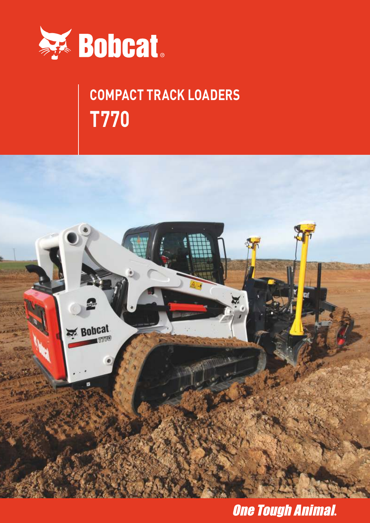

# **COMPACT TRACK LOADERS T770**



### **One Tough Animal.**